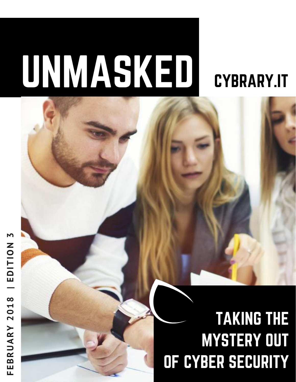# UNMASKED [CYBRARY.IT](https://www.cybrary.it/?source=unmasked_jan26)

# TAKING THE MYSTERY OUT OF CYBER SECURITY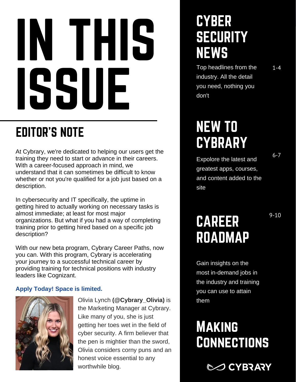# IN THIS ISSUE

### [EDITOR'S](https://goo.gl/6NC3Di) NOTE

At Cybrary, we're dedicated to helping our users get the training they need to start or advance in their careers. With a career-focused approach in mind, we understand that it can sometimes be difficult to know whether or not you're qualified for a job just based on a description.

In cybersecurity and IT specifically, the uptime in getting hired to actually working on necessary tasks is almost immediate; at least for most major organizations. But what if you had a way of completing training prior to getting hired based on a specific job description?

With our new beta program, Cybrary Career Paths, now you can. With this program, Cybrary is accelerating your journey to a successful technical career by providing training for technical positions with industry leaders like Cognizant.

#### **Apply Today! Space is limited.**



Olivia Lynch **(@Cybrary\_Olivia)** is the Marketing Manager at Cybrary. Like many of you, she is just getting her toes wet in the field of cyber security. A firm believer that the pen is mightier than the sword, Olivia considers corny puns and an honest voice essential to any worthwhile blog.

### **CYBER SECURITY** NEWS

Top headlines from the industry. All the detail you need, nothing you don't

### NEW TO **CYBRARY**

6-7

1-4

Expolore the latest and greatest apps, courses, and content added to the site

9-10

### CAREER ROADMAP

Gain insights on the most in-demand jobs in the industry and training you can use to attain them

### **MAKING CONNECTIONS**

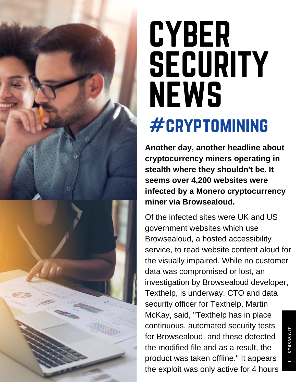



# **CYBER SECURITY NEWS** #cryptomining

**Another day, another headline about cryptocurrency miners operating in stealth where they shouldn't be. It seems over 4,200 websites were infected by a Monero cryptocurrency miner via Browsealoud.**

Of the infected sites were UK and US government websites which use Browsealoud, a hosted accessibility service, to read website content aloud for the visually impaired. While no customer data was compromised or lost, an investigation by Browsealoud developer, Texthelp, is underway. CTO and data security officer for Texthelp, Martin McKay, said, "Texthelp has in place continuous, automated security tests for Browsealoud, and these detected the modified file and as a result, the product was taken offline." It appears the exploit was only active for 4 hours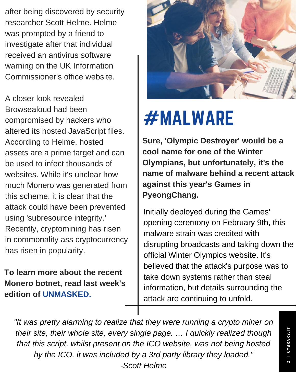after being discovered by security researcher Scott Helme. Helme was prompted by a friend to investigate after that individual received an antivirus software warning on the UK Information Commissioner's office website.

A closer look revealed Browsealoud had been compromised by hackers who altered its hosted JavaScript files. According to Helme, hosted assets are a prime target and can be used to infect thousands of websites. While it's unclear how much Monero was generated from this scheme, it is clear that the attack could have been prevented using 'subresource integrity.' Recently, cryptomining has risen in commonality ass cryptocurrency has risen in popularity.

**To learn more about the recent Monero botnet, read last week's edition of [UNMASKED.](https://goo.gl/KVspqo)**



# #MALWARE

**Sure, 'Olympic Destroyer' would be a cool name for one of the Winter Olympians, but unfortunately, it's the name of malware behind a recent attack against this year's Games in PyeongChang.**

Initially deployed during the Games' opening ceremony on February 9th, this malware strain was credited with disrupting broadcasts and taking down the official Winter Olympics website. It's believed that the attack's purpose was to take down systems rather than steal information, but details surrounding the attack are continuing to unfold.

*"It was pretty alarming to realize that they were running a crypto miner on their site, their whole site, every single page. … I quickly realized though that this script, whilst present on the ICO website, was not being hosted by the ICO, it was included by a 3rd party library they loaded." -Scott Helme*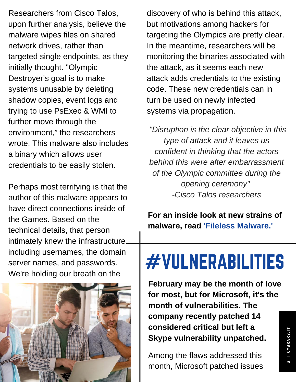Researchers from Cisco Talos, upon further analysis, believe the malware wipes files on shared network drives, rather than targeted single endpoints, as they initially thought. "Olympic Destroyer's goal is to make systems unusable by deleting shadow copies, event logs and trying to use PsExec & WMI to further move through the environment," the researchers wrote. This malware also includes a binary which allows user credentials to be easily stolen.

Perhaps most terrifying is that the author of this malware appears to have direct connections inside of the Games. Based on the technical details, that person intimately knew the infrastructure including usernames, the domain server names, and passwords. We're holding our breath on the



discovery of who is behind this attack, but motivations among hackers for targeting the Olympics are pretty clear. In the meantime, researchers will be monitoring the binaries associated with the attack, as it seems each new attack adds credentials to the existing code. These new credentials can in turn be used on newly infected systems via propagation.

*"Disruption is the clear objective in this type of attack and it leaves us confident in thinking that the actors behind this were after embarrassment of the Olympic committee during the opening ceremony" -Cisco Talos researchers*

**For an inside look at new strains of malware, read 'Fileless [Malware.'](https://goo.gl/esb5Wf)**

# #VULNERABILITIES

**February may be the month of love for most, but for Microsoft, it's the month of vulnerabilities. The company recently patched 14 considered critical but left a Skype vulnerability unpatched.**

Among the flaws addressed this month, Microsoft patched issues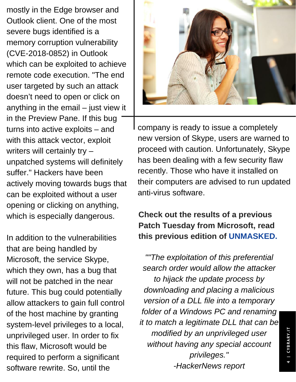mostly in the Edge browser and Outlook client. One of the most severe bugs identified is a memory corruption vulnerability (CVE-2018-0852) in Outlook which can be exploited to achieve remote code execution. "The end user targeted by such an attack doesn't need to open or click on anything in the email – just view it in the Preview Pane. If this bug turns into active exploits – and with this attack vector, exploit writers will certainly try – unpatched systems will definitely suffer." Hackers have been actively moving towards bugs that can be exploited without a user opening or clicking on anything, which is especially dangerous.

In addition to the vulnerabilities that are being handled by Microsoft, the service Skype, which they own, has a bug that will not be patched in the near future. This bug could potentially allow attackers to gain full control of the host machine by granting system-level privileges to a local, unprivileged user. In order to fix this flaw, Microsoft would be required to perform a significant software rewrite. So, until the



company is ready to issue a completely new version of Skype, users are warned to proceed with caution. Unfortunately, Skype has been dealing with a few security flaw recently. Those who have it installed on their computers are advised to run updated anti-virus software.

#### **Check out the results of a previous Patch Tuesday from Microsoft, read this previous edition of [UNMASKED.](https://goo.gl/ewYbq4)**

*""The exploitation of this preferential search order would allow the attacker to hijack the update process by downloading and placing a malicious version of a DLL file into a temporary folder of a Windows PC and renaming it to match a legitimate DLL that can be modified by an unprivileged user without having any special account privileges." -HackerNews report*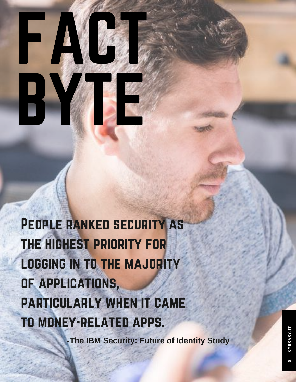PEOPLE RANKED SECURITY AS the highest priority for LOGGING IN TO THE MAJORITY of applications, particularly when it came to money-related apps.

FACT

B

**-The IBM Security: Future of Identity Study**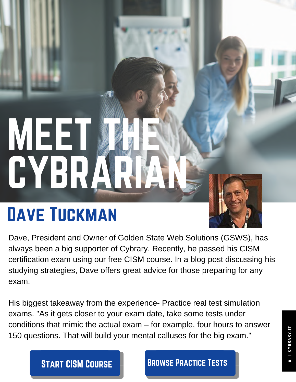# MEET MAR CYBRARIAN,

# DAVE TUCKMAN



Dave, President and Owner of Golden State Web Solutions (GSWS), has always been a big supporter of Cybrary. Recently, he passed his CISM certification exam using our free CISM course. In a blog post discussing his studying strategies, Dave offers great advice for those preparing for any exam.

His biggest takeaway from the experience- Practice real test simulation exams. "As it gets closer to your exam date, take some tests under conditions that mimic the actual exam – for example, four hours to answer 150 questions. That will build your mental calluses for the big exam."

#### **START CISM COURSE BROWSE PRACTICE TESTS**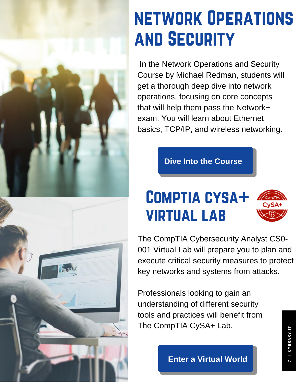



#### 19 network Operations and Security

In the Network Operations and Security Course by Michael Redman, students will get a thorough deep dive into network operations, focusing on core concepts that will help them pass the Network+ exam. You will learn about Ethernet basics, TCP/IP, and wireless [networking.](https://www.cybrary.it/catalog/bundle/Microsoft-Excel-2016-Comprehensive)

**Dive Into the [Course](https://goo.gl/15RZmg)**

## Comptia cysa+ virtual lab

The CompTIA Cybersecurity Analyst CS0- 001 Virtual Lab will prepare you to plan and execute critical security measures to protect key networks and systems from attacks.

Professionals looking to gain an [understanding](https://www.cybrary.it/course/the-art-of-exploitation/?from=unmasked_jan19) of different security tools and practices will benefit from The CompTIA CySA+ Lab.

**Enter a [Virtual](https://goo.gl/rLRQNW) World**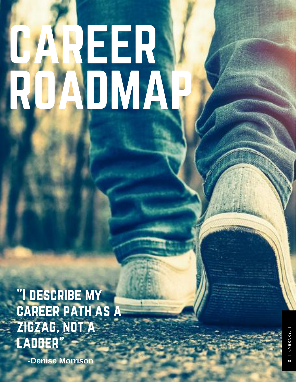# CAREER, ROADMAP

"I describe my career path as a zigzag, not a ladder"

**-Denise Morrison**

 | CYBRARY.IT CYBRARY.I  $^{\circ}$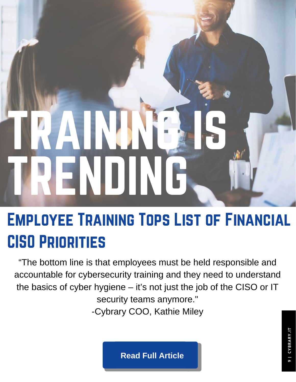# TRAINING IS TRENDING

# Employee Training Tops List of Financial CISO Priorities

"The bottom line is that employees must be held responsible and accountable for [cybersecurity](https://www.cybrary.it/course/the-art-of-exploitation//?source=unmasked_jan26) training and they need to understand the basics of cyber hygiene – it's not just the job of the CISO or IT security teams anymore." -Cybrary COO, Kathie Miley

**Read Full [Article](https://goo.gl/pxjpKm)**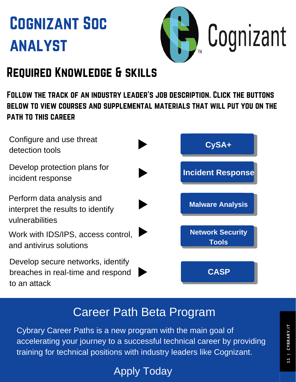# Cognizant Soc analyst



#### Required Knowledge & skills

Follow the track of an industry leader's job description. Click the buttons below to view courses and supplemental materials that will put you on the path to this career

| Configure and use threat<br>detection tools                                            | CySA+                                   |
|----------------------------------------------------------------------------------------|-----------------------------------------|
| Develop protection plans for<br>incident response                                      | <b>Incident Response</b>                |
| Perform data analysis and<br>interpret the results to identify<br>vulnerabilities      | <b>Malware Analysis</b>                 |
| Work with IDS/IPS, access control,<br>and antivirus solutions                          | <b>Network Security</b><br><b>Tools</b> |
| Develop secure networks, identify<br>breaches in real-time and respond<br>to an attack | <b>CASP</b>                             |

#### Career Path Beta Program

Cybrary Career Paths is a new program with the main goal of accelerating your journey to a successful technical career by providing training for technical positions with industry leaders like Cognizant.

Apply [Today](https://goo.gl/6NC3Di)